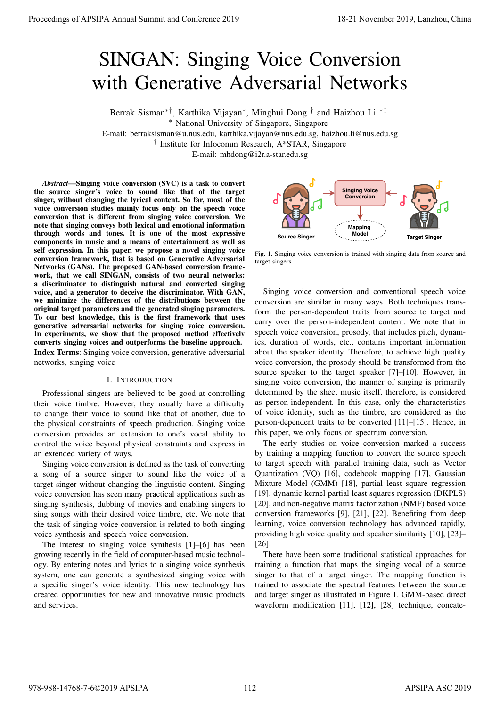# SINGAN: Singing Voice Conversion with Generative Adversarial Networks

Berrak Sisman∗†, Karthika Vijayan<sup>∗</sup> , Minghui Dong † and Haizhou Li ∗‡

<sup>∗</sup> National University of Singapore, Singapore

E-mail: berraksisman@u.nus.edu, karthika.vijayan@nus.edu.sg, haizhou.li@nus.edu.sg

† Institute for Infocomm Research, A\*STAR, Singapore

E-mail: mhdong@i2r.a-star.edu.sg

*Abstract*—Singing voice conversion (SVC) is a task to convert the source singer's voice to sound like that of the target singer, without changing the lyrical content. So far, most of the voice conversion studies mainly focus only on the speech voice conversion that is different from singing voice conversion. We note that singing conveys both lexical and emotional information through words and tones. It is one of the most expressive components in music and a means of entertainment as well as self expression. In this paper, we propose a novel singing voice conversion framework, that is based on Generative Adversarial Networks (GANs). The proposed GAN-based conversion framework, that we call SINGAN, consists of two neural networks: a discriminator to distinguish natural and converted singing voice, and a generator to deceive the discriminator. With GAN, we minimize the differences of the distributions between the original target parameters and the generated singing parameters. To our best knowledge, this is the first framework that uses generative adversarial networks for singing voice conversion. In experiments, we show that the proposed method effectively converts singing voices and outperforms the baseline approach. Index Terms: Singing voice conversion, generative adversarial networks, singing voice **Proceedings of APSIPA Annual Summit and Conference 2019**<br>
SINGAN: Singaing Voice Conversion News and Conference 2019<br>
Reads from the conference 2019 18-21 November 2019<br>
Reads from the conference 2019 and 2019 and 2019 a

# I. INTRODUCTION

Professional singers are believed to be good at controlling their voice timbre. However, they usually have a difficulty to change their voice to sound like that of another, due to the physical constraints of speech production. Singing voice conversion provides an extension to one's vocal ability to control the voice beyond physical constraints and express in an extended variety of ways.

Singing voice conversion is defined as the task of converting a song of a source singer to sound like the voice of a target singer without changing the linguistic content. Singing voice conversion has seen many practical applications such as singing synthesis, dubbing of movies and enabling singers to sing songs with their desired voice timbre, etc. We note that the task of singing voice conversion is related to both singing voice synthesis and speech voice conversion.

The interest to singing voice synthesis [1]–[6] has been growing recently in the field of computer-based music technology. By entering notes and lyrics to a singing voice synthesis system, one can generate a synthesized singing voice with a specific singer's voice identity. This new technology has created opportunities for new and innovative music products and services.



Fig. 1. Singing voice conversion is trained with singing data from source and target singers.

Singing voice conversion and conventional speech voice conversion are similar in many ways. Both techniques transform the person-dependent traits from source to target and carry over the person-independent content. We note that in speech voice conversion, prosody, that includes pitch, dynamics, duration of words, etc., contains important information about the speaker identity. Therefore, to achieve high quality voice conversion, the prosody should be transformed from the source speaker to the target speaker [7]–[10]. However, in singing voice conversion, the manner of singing is primarily determined by the sheet music itself, therefore, is considered as person-independent. In this case, only the characteristics of voice identity, such as the timbre, are considered as the person-dependent traits to be converted [11]–[15]. Hence, in this paper, we only focus on spectrum conversion.

The early studies on voice conversion marked a success by training a mapping function to convert the source speech to target speech with parallel training data, such as Vector Quantization (VQ) [16], codebook mapping [17], Gaussian Mixture Model (GMM) [18], partial least square regression [19], dynamic kernel partial least squares regression (DKPLS) [20], and non-negative matrix factorization (NMF) based voice conversion frameworks [9], [21], [22]. Benefiting from deep learning, voice conversion technology has advanced rapidly, providing high voice quality and speaker similarity [10], [23]– [26].

There have been some traditional statistical approaches for training a function that maps the singing vocal of a source singer to that of a target singer. The mapping function is trained to associate the spectral features between the source and target singer as illustrated in Figure 1. GMM-based direct waveform modification [11], [12], [28] technique, concate-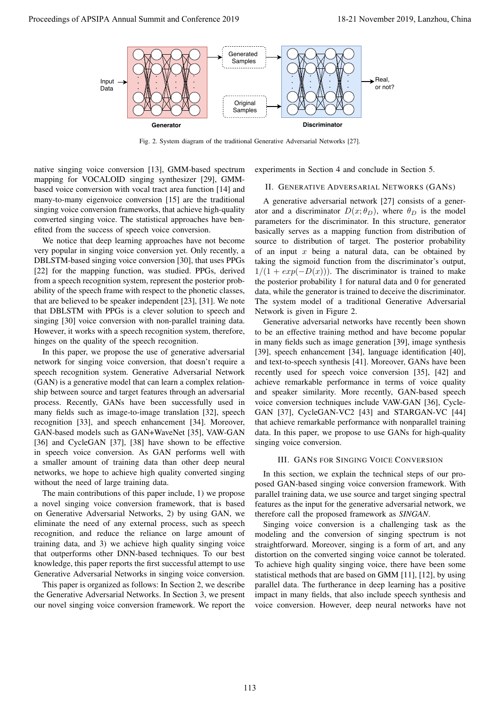

Fig. 2. System diagram of the traditional Generative Adversarial Networks [27].

native singing voice conversion [13], GMM-based spectrum mapping for VOCALOID singing synthesizer [29], GMMbased voice conversion with vocal tract area function [14] and many-to-many eigenvoice conversion [15] are the traditional singing voice conversion frameworks, that achieve high-quality converted singing voice. The statistical approaches have benefited from the success of speech voice conversion.

We notice that deep learning approaches have not become very popular in singing voice conversion yet. Only recently, a DBLSTM-based singing voice conversion [30], that uses PPGs [22] for the mapping function, was studied. PPGs, derived from a speech recognition system, represent the posterior probability of the speech frame with respect to the phonetic classes, that are believed to be speaker independent [23], [31]. We note that DBLSTM with PPGs is a clever solution to speech and singing [30] voice conversion with non-parallel training data. However, it works with a speech recognition system, therefore, hinges on the quality of the speech recognition.

In this paper, we propose the use of generative adversarial network for singing voice conversion, that doesn't require a speech recognition system. Generative Adversarial Network (GAN) is a generative model that can learn a complex relationship between source and target features through an adversarial process. Recently, GANs have been successfully used in many fields such as image-to-image translation [32], speech recognition [33], and speech enhancement [34]. Moreover, GAN-based models such as GAN+WaveNet [35], VAW-GAN [36] and CycleGAN [37], [38] have shown to be effective in speech voice conversion. As GAN performs well with a smaller amount of training data than other deep neural networks, we hope to achieve high quality converted singing without the need of large training data.

The main contributions of this paper include, 1) we propose a novel singing voice conversion framework, that is based on Generative Adversarial Networks, 2) by using GAN, we eliminate the need of any external process, such as speech recognition, and reduce the reliance on large amount of training data, and 3) we achieve high quality singing voice that outperforms other DNN-based techniques. To our best knowledge, this paper reports the first successful attempt to use Generative Adversarial Networks in singing voice conversion.

This paper is organized as follows: In Section 2, we describe the Generative Adversarial Networks. In Section 3, we present our novel singing voice conversion framework. We report the

experiments in Section 4 and conclude in Section 5.

## II. GENERATIVE ADVERSARIAL NETWORKS (GANS)

A generative adversarial network [27] consists of a generator and a discriminator  $D(x; \theta_D)$ , where  $\theta_D$  is the model parameters for the discriminator. In this structure, generator basically serves as a mapping function from distribution of source to distribution of target. The posterior probability of an input  $x$  being a natural data, can be obtained by taking the sigmoid function from the discriminator's output,  $1/(1 + exp(-D(x)))$ . The discriminator is trained to make the posterior probability 1 for natural data and 0 for generated data, while the generator is trained to deceive the discriminator. The system model of a traditional Generative Adversarial Network is given in Figure 2.

Generative adversarial networks have recently been shown to be an effective training method and have become popular in many fields such as image generation [39], image synthesis [39], speech enhancement [34], language identification [40], and text-to-speech synthesis [41]. Moreover, GANs have been recently used for speech voice conversion [35], [42] and achieve remarkable performance in terms of voice quality and speaker similarity. More recently, GAN-based speech voice conversion techniques include VAW-GAN [36], Cycle-GAN [37], CycleGAN-VC2 [43] and STARGAN-VC [44] that achieve remarkable performance with nonparallel training data. In this paper, we propose to use GANs for high-quality singing voice conversion.

# III. GANS FOR SINGING VOICE CONVERSION

In this section, we explain the technical steps of our proposed GAN-based singing voice conversion framework. With parallel training data, we use source and target singing spectral features as the input for the generative adversarial network, we therefore call the proposed framework as *SINGAN*.

Singing voice conversion is a challenging task as the modeling and the conversion of singing spectrum is not straightforward. Moreover, singing is a form of art, and any distortion on the converted singing voice cannot be tolerated. To achieve high quality singing voice, there have been some statistical methods that are based on GMM [11], [12], by using parallel data. The furtherance in deep learning has a positive impact in many fields, that also include speech synthesis and voice conversion. However, deep neural networks have not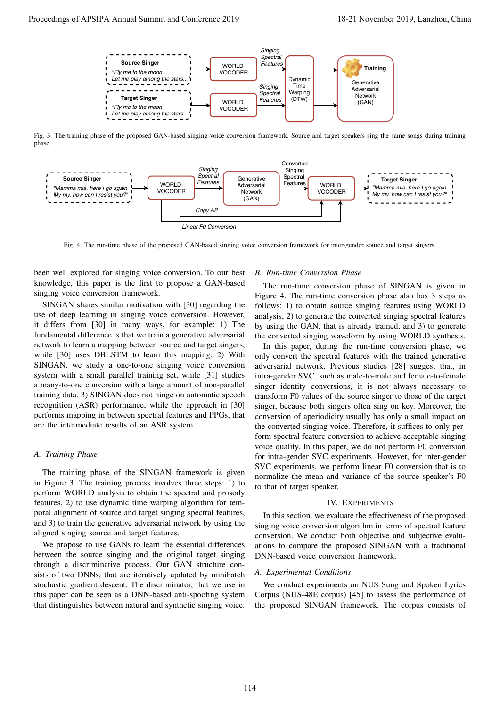

Fig. 3. The training phase of the proposed GAN-based singing voice conversion framework. Source and target speakers sing the same songs during training phase.



Fig. 4. The run-time phase of the proposed GAN-based singing voice conversion framework for inter-gender source and target singers.

been well explored for singing voice conversion. To our best knowledge, this paper is the first to propose a GAN-based singing voice conversion framework.

SINGAN shares similar motivation with [30] regarding the use of deep learning in singing voice conversion. However, it differs from [30] in many ways, for example: 1) The fundamental difference is that we train a generative adversarial network to learn a mapping between source and target singers, while [30] uses DBLSTM to learn this mapping; 2) With SINGAN. we study a one-to-one singing voice conversion system with a small parallel training set, while [31] studies a many-to-one conversion with a large amount of non-parallel training data. 3) SINGAN does not hinge on automatic speech recognition (ASR) performance, while the approach in [30] performs mapping in between spectral features and PPGs, that are the intermediate results of an ASR system.

# *A. Training Phase*

The training phase of the SINGAN framework is given in Figure 3. The training process involves three steps: 1) to perform WORLD analysis to obtain the spectral and prosody features, 2) to use dynamic time warping algorithm for temporal alignment of source and target singing spectral features, and 3) to train the generative adversarial network by using the aligned singing source and target features.

We propose to use GANs to learn the essential differences between the source singing and the original target singing through a discriminative process. Our GAN structure consists of two DNNs, that are iteratively updated by minibatch stochastic gradient descent. The discriminator, that we use in this paper can be seen as a DNN-based anti-spoofing system that distinguishes between natural and synthetic singing voice.

# *B. Run-time Conversion Phase*

The run-time conversion phase of SINGAN is given in Figure 4. The run-time conversion phase also has 3 steps as follows: 1) to obtain source singing features using WORLD analysis, 2) to generate the converted singing spectral features by using the GAN, that is already trained, and 3) to generate the converted singing waveform by using WORLD synthesis.

In this paper, during the run-time conversion phase, we only convert the spectral features with the trained generative adversarial network. Previous studies [28] suggest that, in intra-gender SVC, such as male-to-male and female-to-female singer identity conversions, it is not always necessary to transform F0 values of the source singer to those of the target singer, because both singers often sing on key. Moreover, the conversion of aperiodicity usually has only a small impact on the converted singing voice. Therefore, it suffices to only perform spectral feature conversion to achieve acceptable singing voice quality. In this paper, we do not perform F0 conversion for intra-gender SVC experiments. However, for inter-gender SVC experiments, we perform linear F0 conversion that is to normalize the mean and variance of the source speaker's F0 to that of target speaker.

## IV. EXPERIMENTS

In this section, we evaluate the effectiveness of the proposed singing voice conversion algorithm in terms of spectral feature conversion. We conduct both objective and subjective evaluations to compare the proposed SINGAN with a traditional DNN-based voice conversion framework.

#### *A. Experimental Conditions*

We conduct experiments on NUS Sung and Spoken Lyrics Corpus (NUS-48E corpus) [45] to assess the performance of the proposed SINGAN framework. The corpus consists of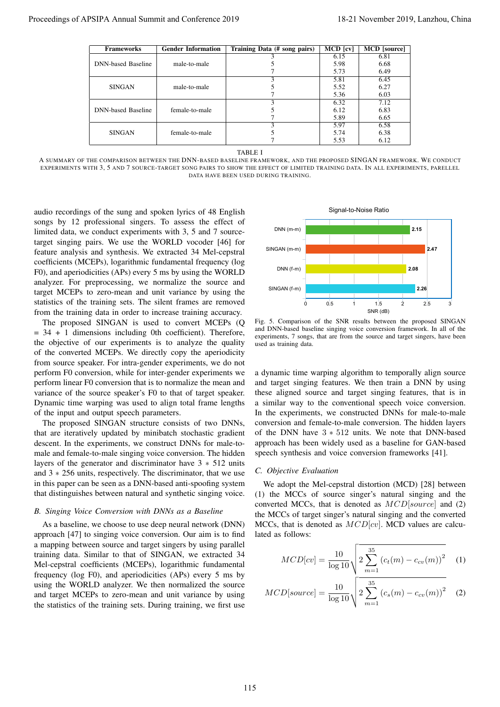| <b>Frameworks</b>                                                  | <b>Gender Information</b> | Training Data (# song pairs)                                                                                                                                                                                                                                                                             | MCD [cv]     | <b>MCD</b> [source]                                                                                                                                                          |          |
|--------------------------------------------------------------------|---------------------------|----------------------------------------------------------------------------------------------------------------------------------------------------------------------------------------------------------------------------------------------------------------------------------------------------------|--------------|------------------------------------------------------------------------------------------------------------------------------------------------------------------------------|----------|
| <b>DNN-based Baseline</b>                                          |                           | 3                                                                                                                                                                                                                                                                                                        | 6.15<br>5.98 | 6.81<br>6.68                                                                                                                                                                 |          |
|                                                                    | male-to-male              | 5<br>7                                                                                                                                                                                                                                                                                                   | 5.73         | 6.49                                                                                                                                                                         |          |
|                                                                    |                           | 3                                                                                                                                                                                                                                                                                                        | 5.81         | 6.45                                                                                                                                                                         |          |
| <b>SINGAN</b>                                                      | male-to-male              | 5<br>7                                                                                                                                                                                                                                                                                                   | 5.52<br>5.36 | 6.27<br>6.03                                                                                                                                                                 |          |
|                                                                    |                           | 3                                                                                                                                                                                                                                                                                                        | 6.32         | 7.12                                                                                                                                                                         |          |
| <b>DNN-based Baseline</b>                                          | female-to-male            | 5                                                                                                                                                                                                                                                                                                        | 6.12         | 6.83                                                                                                                                                                         |          |
|                                                                    |                           | 7<br>$\overline{3}$                                                                                                                                                                                                                                                                                      | 5.89<br>5.97 | 6.65<br>6.58                                                                                                                                                                 |          |
| <b>SINGAN</b>                                                      | female-to-male            | 5<br>7                                                                                                                                                                                                                                                                                                   | 5.74<br>5.53 | 6.38<br>6.12                                                                                                                                                                 |          |
|                                                                    |                           | TABLE I<br>A SUMMARY OF THE COMPARISON BETWEEN THE DNN-BASED BASELINE FRAMEWORK, AND THE PROPOSED SINGAN FRAMEWORK. WE CONDUCT<br>EXPERIMENTS WITH 3, 5 AND 7 SOURCE-TARGET SONG PAIRS TO SHOW THE EFFECT OF LIMITED TRAINING DATA. IN ALL EXPERIMENTS, PARELLEL<br>DATA HAVE BEEN USED DURING TRAINING. |              |                                                                                                                                                                              |          |
| audio recordings of the sung and spoken lyrics of 48 English       |                           |                                                                                                                                                                                                                                                                                                          |              | Signal-to-Noise Ratio                                                                                                                                                        |          |
| songs by 12 professional singers. To assess the effect of          |                           |                                                                                                                                                                                                                                                                                                          |              |                                                                                                                                                                              |          |
| limited data, we conduct experiments with 3, 5 and 7 source-       |                           | $DNN$ (m-m)                                                                                                                                                                                                                                                                                              |              |                                                                                                                                                                              | 2.15     |
| target singing pairs. We use the WORLD vocoder [46] for            |                           |                                                                                                                                                                                                                                                                                                          |              |                                                                                                                                                                              |          |
| feature analysis and synthesis. We extracted 34 Mel-cepstral       |                           | SINGAN (m-m)                                                                                                                                                                                                                                                                                             |              |                                                                                                                                                                              | 2.47     |
| coefficients (MCEPs), logarithmic fundamental frequency (log       |                           |                                                                                                                                                                                                                                                                                                          |              |                                                                                                                                                                              |          |
| F0), and aperiodicities (APs) every 5 ms by using the WORLD        |                           | DNN (f-m)                                                                                                                                                                                                                                                                                                |              |                                                                                                                                                                              | 2.08     |
| analyzer. For preprocessing, we normalize the source and           |                           | SINGAN (f-m)                                                                                                                                                                                                                                                                                             |              |                                                                                                                                                                              | 2.26     |
| target MCEPs to zero-mean and unit variance by using the           |                           |                                                                                                                                                                                                                                                                                                          |              |                                                                                                                                                                              |          |
| statistics of the training sets. The silent frames are removed     |                           | Ò                                                                                                                                                                                                                                                                                                        | 0.5          | $\overline{2}$<br>1.5                                                                                                                                                        | 2.5<br>3 |
| from the training data in order to increase training accuracy.     |                           |                                                                                                                                                                                                                                                                                                          |              | SNR (dB)                                                                                                                                                                     |          |
| The proposed SINGAN is used to convert MCEPs (Q                    |                           | Fig. 5. Comparison of the SNR results between the proposed SINGAN<br>and DNN-based baseline singing voice conversion framework. In all of the                                                                                                                                                            |              |                                                                                                                                                                              |          |
| $=$ 34 + 1 dimensions including 0th coefficient). Therefore,       |                           | experiments, 7 songs, that are from the source and target singers, have been                                                                                                                                                                                                                             |              |                                                                                                                                                                              |          |
| the objective of our experiments is to analyze the quality         |                           | used as training data.                                                                                                                                                                                                                                                                                   |              |                                                                                                                                                                              |          |
| of the converted MCEPs. We directly copy the aperiodicity          |                           |                                                                                                                                                                                                                                                                                                          |              |                                                                                                                                                                              |          |
| from source speaker. For intra-gender experiments, we do not       |                           |                                                                                                                                                                                                                                                                                                          |              |                                                                                                                                                                              |          |
| perform F0 conversion, while for inter-gender experiments we       |                           | a dynamic time warping algorithm to temporally align source                                                                                                                                                                                                                                              |              |                                                                                                                                                                              |          |
| perform linear F0 conversion that is to normalize the mean and     |                           | and target singing features. We then train a DNN by using                                                                                                                                                                                                                                                |              |                                                                                                                                                                              |          |
| variance of the source speaker's F0 to that of target speaker.     |                           | these aligned source and target singing features, that is in                                                                                                                                                                                                                                             |              |                                                                                                                                                                              |          |
| Dynamic time warping was used to align total frame lengths         |                           | a similar way to the conventional speech voice conversion.                                                                                                                                                                                                                                               |              |                                                                                                                                                                              |          |
| of the input and output speech parameters.                         |                           | In the experiments, we constructed DNNs for male-to-male                                                                                                                                                                                                                                                 |              |                                                                                                                                                                              |          |
|                                                                    |                           | conversion and female-to-male conversion. The hidden layers                                                                                                                                                                                                                                              |              |                                                                                                                                                                              |          |
| The proposed SINGAN structure consists of two DNNs,                |                           |                                                                                                                                                                                                                                                                                                          |              |                                                                                                                                                                              |          |
| that are iteratively updated by minibatch stochastic gradient      |                           | of the DNN have $3 * 512$ units. We note that DNN-based                                                                                                                                                                                                                                                  |              |                                                                                                                                                                              |          |
| descent. In the experiments, we construct DNNs for male-to-        |                           | approach has been widely used as a baseline for GAN-based                                                                                                                                                                                                                                                |              |                                                                                                                                                                              |          |
| male and female-to-male singing voice conversion. The hidden       |                           | speech synthesis and voice conversion frameworks [41].                                                                                                                                                                                                                                                   |              |                                                                                                                                                                              |          |
| layers of the generator and discriminator have $3 * 512$ units     |                           |                                                                                                                                                                                                                                                                                                          |              |                                                                                                                                                                              |          |
| and $3 * 256$ units, respectively. The discriminator, that we use  |                           | C. Objective Evaluation                                                                                                                                                                                                                                                                                  |              |                                                                                                                                                                              |          |
| in this paper can be seen as a DNN-based anti-spoofing system      |                           |                                                                                                                                                                                                                                                                                                          |              | We adopt the Mel-cepstral distortion (MCD) [28] between                                                                                                                      |          |
| that distinguishes between natural and synthetic singing voice.    |                           | (1) the MCCs of source singer's natural singing and the                                                                                                                                                                                                                                                  |              |                                                                                                                                                                              |          |
|                                                                    |                           | converted MCCs, that is denoted as $MCD[source]$ and (2)                                                                                                                                                                                                                                                 |              |                                                                                                                                                                              |          |
| B. Singing Voice Conversion with DNNs as a Baseline                |                           | the MCCs of target singer's natural singing and the converted                                                                                                                                                                                                                                            |              |                                                                                                                                                                              |          |
| As a baseline, we choose to use deep neural network (DNN)          |                           | MCCs, that is denoted as $MCD[cv]$ . MCD values are calcu-                                                                                                                                                                                                                                               |              |                                                                                                                                                                              |          |
| approach [47] to singing voice conversion. Our aim is to find      |                           | lated as follows:                                                                                                                                                                                                                                                                                        |              |                                                                                                                                                                              |          |
| a mapping between source and target singers by using parallel      |                           |                                                                                                                                                                                                                                                                                                          |              |                                                                                                                                                                              |          |
| training data. Similar to that of SINGAN, we extracted 34          |                           |                                                                                                                                                                                                                                                                                                          |              |                                                                                                                                                                              |          |
| Mel-cepstral coefficients (MCEPs), logarithmic fundamental         |                           |                                                                                                                                                                                                                                                                                                          |              |                                                                                                                                                                              |          |
| frequency (log F0), and aperiodicities (APs) every 5 ms by         |                           |                                                                                                                                                                                                                                                                                                          |              |                                                                                                                                                                              |          |
| using the WORLD analyzer. We then normalized the source            |                           |                                                                                                                                                                                                                                                                                                          |              |                                                                                                                                                                              |          |
| and target MCEPs to zero-mean and unit variance by using           |                           |                                                                                                                                                                                                                                                                                                          |              |                                                                                                                                                                              |          |
| the statistics of the training sets. During training, we first use |                           |                                                                                                                                                                                                                                                                                                          |              | $MCD[cv] = \frac{10}{\log 10} \sqrt{2 \sum_{m=1}^{35} (c_t(m) - c_{cv}(m))^2}$ (1)<br>$MCD[source] = \frac{10}{\log 10} \sqrt{2 \sum_{m=1}^{35} (c_s(m) - c_{cv}(m))^2}$ (2) |          |
|                                                                    |                           |                                                                                                                                                                                                                                                                                                          |              |                                                                                                                                                                              |          |
|                                                                    |                           |                                                                                                                                                                                                                                                                                                          |              |                                                                                                                                                                              |          |
|                                                                    |                           |                                                                                                                                                                                                                                                                                                          |              |                                                                                                                                                                              |          |
|                                                                    |                           |                                                                                                                                                                                                                                                                                                          |              |                                                                                                                                                                              |          |

A SUMMARY OF THE COMPARISON BETWEEN THE DNN-BASED BASELINE FRAMEWORK, AND THE PROPOSED SINGAN FRAMEWORK. WE CONDUCT EXPERIMENTS WITH 3, 5 AND 7 SOURCE-TARGET SONG PAIRS TO SHOW THE EFFECT OF LIMITED TRAINING DATA. IN ALL EXPERIMENTS, PARELLEL DATA HAVE BEEN USED DURING TRAINING.

# *B. Singing Voice Conversion with DNNs as a Baseline*



Fig. 5. Comparison of the SNR results between the proposed SINGAN and DNN-based baseline singing voice conversion framework. In all of the experiments, 7 songs, that are from the source and target singers, have been used as training data.

#### *C. Objective Evaluation*

$$
MCD[cv] = \frac{10}{\log 10} \sqrt{2 \sum_{m=1}^{35} (c_t(m) - c_{cv}(m))^2}
$$
 (1)

$$
MCD[source] = \frac{10}{\log 10} \sqrt{2 \sum_{m=1}^{35} (c_s(m) - c_{cv}(m))^2}
$$
 (2)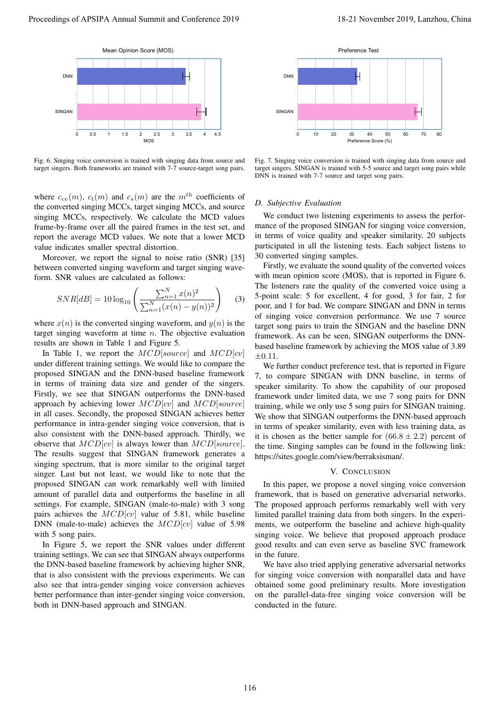

Fig. 6. Singing voice conversion is trained with singing data from source and target singers. Both frameworks are trained with 7-7 source-target song pairs.

where  $c_{cv}(m)$ ,  $c_t(m)$  and  $c_s(m)$  are the  $m^{th}$  coefficients of the converted singing MCCs, target singing MCCs, and source singing MCCs, respectively. We calculate the MCD values frame-by-frame over all the paired frames in the test set, and report the average MCD values. We note that a lower MCD value indicates smaller spectral distortion.

Moreover, we report the signal to noise ratio (SNR) [35] between converted singing waveform and target singing waveform. SNR values are calculated as follows:

$$
SNR[dB] = 10 \log_{10} \left( \frac{\sum_{n=1}^{N} x(n)^2}{\sum_{n=1}^{N} (x(n) - y(n))^2} \right) \tag{3}
$$

where  $x(n)$  is the converted singing waveform, and  $y(n)$  is the target singing waveform at time  $n$ . The objective evaluation results are shown in Table 1 and Figure 5.

In Table 1, we report the  $MCD[source]$  and  $MCD[cv]$ under different training settings. We would like to compare the proposed SINGAN and the DNN-based baseline framework in terms of training data size and gender of the singers. Firstly, we see that SINGAN outperforms the DNN-based approach by achieving lower  $MCD[cv]$  and  $MCD[source]$ in all cases. Secondly, the proposed SINGAN achieves better performance in intra-gender singing voice conversion, that is also consistent with the DNN-based approach. Thirdly, we observe that  $MCD[cv]$  is always lower than  $MCD[source]$ . The results suggest that SINGAN framework generates a singing spectrum, that is more similar to the original target singer. Last but not least, we would like to note that the proposed SINGAN can work remarkably well with limited amount of parallel data and outperforms the baseline in all settings. For example, SINGAN (male-to-male) with 3 song pairs achieves the  $MCD[cv]$  value of 5.81, while baseline DNN (male-to-male) achieves the  $MCD[cv]$  value of 5.98 with 5 song pairs. Fig. 6. Simpley vectors are also between the state of the state of the state of the state of the state of the state of the state of the state of the state of the state of the state of the state of the state of the state o Proceeding of APSIPA Annual Summit at China 1991<br>
Proceedings of APSIPA Annual Summit at China 2019<br>
Proceedings of APSIPA Annual Summit at China 2019<br>
Proceedings of APSIPA Annual Summit at China 2019<br>
The Summit at Chin

In Figure 5, we report the SNR values under different training settings. We can see that SINGAN always outperforms the DNN-based baseline framework by achieving higher SNR, that is also consistent with the previous experiments. We can also see that intra-gender singing voice conversion achieves better performance than inter-gender singing voice conversion,



Fig. 7. Singing voice conversion is trained with singing data from source and target singers. SINGAN is trained with 5-5 source and target song pairs while DNN is trained with 7-7 source and target song pairs.

# *D. Subjective Evaluation*

We conduct two listening experiments to assess the performance of the proposed SINGAN for singing voice conversion, in terms of voice quality and speaker similarity. 20 subjects participated in all the listening tests. Each subject listens to 30 converted singing samples.

Firstly, we evaluate the sound quality of the converted voices with mean opinion score (MOS), that is reported in Figure 6. The listeners rate the quality of the converted voice using a 5-point scale: 5 for excellent, 4 for good, 3 for fair, 2 for poor, and 1 for bad. We compare SINGAN and DNN in terms of singing voice conversion performance. We use 7 source target song pairs to train the SINGAN and the baseline DNN framework. As can be seen, SINGAN outperforms the DNNbased baseline framework by achieving the MOS value of 3.89  $\pm 0.11.$ 

We further conduct preference test, that is reported in Figure 7, to compare SINGAN with DNN baseline, in terms of speaker similarity. To show the capability of our proposed framework under limited data, we use 7 song pairs for DNN training, while we only use 5 song pairs for SINGAN training. We show that SINGAN outperforms the DNN-based approach in terms of speaker similarity, even with less training data, as it is chosen as the better sample for  $(66.8 \pm 2.2)$  percent of the time. Singing samples can be found in the following link: https://sites.google.com/view/berraksisman/.

### V. CONCLUSION

In this paper, we propose a novel singing voice conversion framework, that is based on generative adversarial networks. The proposed approach performs remarkably well with very limited parallel training data from both singers. In the experiments, we outperform the baseline and achieve high-quality singing voice. We believe that proposed approach produce good results and can even serve as baseline SVC framework in the future.

We have also tried applying generative adversarial networks for singing voice conversion with nonparallel data and have obtained some good preliminary results. More investigation on the parallel-data-free singing voice conversion will be conducted in the future.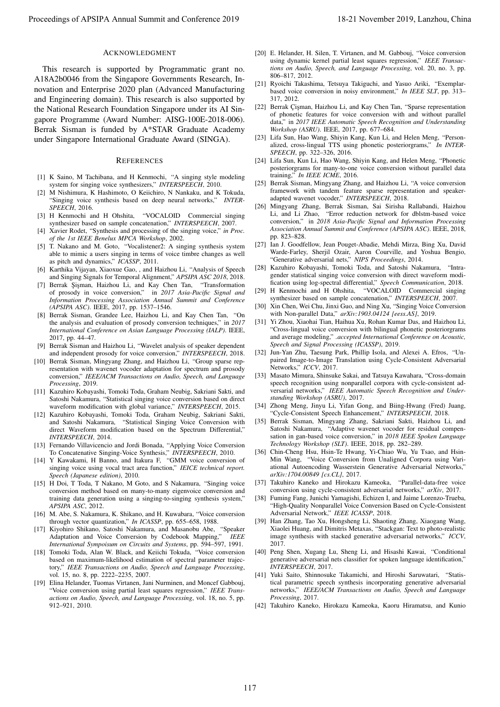## ACKNOWLEDGMENT

This research is supported by Programmatic grant no. A18A2b0046 from the Singapore Governments Research, Innovation and Enterprise 2020 plan (Advanced Manufacturing and Engineering domain). This research is also supported by the National Research Foundation Singapore under its AI Singapore Programme (Award Number: AISG-100E-2018-006). Berrak Sisman is funded by A\*STAR Graduate Academy under Singapore International Graduate Award (SINGA). Proceeding of APSIPA Annual Summit and Conference 2019 11 and Conference 2019 12 and Conference 2019 12 and Conference 2019 12 and Conference 2019 12 and Conference 2019 12 and Conference 2019 12 and Conference 2019 12 an

#### **REFERENCES**

- [1] K Saino, M Tachibana, and H Kenmochi, "A singing style modeling system for singing voice synthesizers," *INTERSPEECH*, 2010.
- [2] M Nishimura, K Hashimoto, O Keiichiro, N Nankaku, and K Tokuda, "Singing voice synthesis based on deep neural networks," *INTER-SPEECH*, 2016.
- [3] H Kenmochi and H Ohshita, "VOCALOID Commercial singing synthesizer based on sample concatenation," *INTERSPEECH*, 2007.
- [4] Xavier Rodet, "Synthesis and processing of the singing voice," *in Proc. of the 1st IEEE Benelux MPCA Workshop*, 2002.
- [5] T. Nakano and M. Goto, "Vocalistener2: A singing synthesis system able to mimic a users singing in terms of voice timbre changes as well as pitch and dynamics," *ICASSP*, 2011.
- [6] Karthika Vijayan, Xiaoxue Gao, , and Haizhou Li, "Analysis of Speech and Singing Signals for Temporal Alignment," *APSIPA ASC 2018*, 2018.
- [7] Berrak Şişman, Haizhou Li, and Kay Chen Tan, "Transformation of prosody in voice conversion," in *2017 Asia-Pacific Signal and Information Processing Association Annual Summit and Conference (APSIPA ASC)*. IEEE, 2017, pp. 1537–1546.
- [8] Berrak Sisman, Grandee Lee, Haizhou Li, and Kay Chen Tan, "On the analysis and evaluation of prosody conversion techniques," in *2017 International Conference on Asian Language Processing (IALP)*. IEEE, 2017, pp. 44–47.
- [9] Berrak Sisman and Haizhou Li, "Wavelet analysis of speaker dependent and independent prosody for voice conversion," *INTERSPEECH*, 2018.
- [10] Berrak Sisman, Mingyang Zhang, and Haizhou Li, "Group sparse representation with wavenet vocoder adaptation for spectrum and prosody conversion," *IEEE/ACM Transactions on Audio, Speech, and Language Processing*, 2019.
- [11] Kazuhiro Kobayashi, Tomoki Toda, Graham Neubig, Sakriani Sakti, and Satoshi Nakamura, "Statistical singing voice conversion based on direct waveform modification with global variance," *INTERSPEECH*, 2015.
- [12] Kazuhiro Kobayashi, Tomoki Toda, Graham Neubig, Sakriani Sakti, and Satoshi Nakamura, "Statistical Singing Voice Conversion with direct Waveform modification based on the Spectrum Differential," *INTERSPEECH*, 2014.
- [13] Fernando Villavicencio and Jordi Bonada, "Applying Voice Conversion To Concatenative Singing-Voice Synthesis," *INTERSPEECH*, 2010.
- [14] Y Kawakami, H Banno, and Itakura F, "GMM voice conversion of singing voice using vocal tract area function," *IEICE technical report. Speech (Japanese edition)*, 2010.
- [15] H Doi, T Toda, T Nakano, M Goto, and S Nakamura, "Singing voice conversion method based on many-to-many eigenvoice conversion and training data generation using a singing-to-singing synthesis system," *APSIPA ASC*, 2012.
- [16] M. Abe, S. Nakamura, K. Shikano, and H. Kuwabara, "Voice conversion through vector quantization," *In ICASSP*, pp. 655–658, 1988.
- [17] Kiyohiro Shikano, Satoshi Nakamura, and Masanobu Abe, "Speaker Adaptation and Voice Conversion by Codebook Mapping," *IEEE International Sympoisum on Circuits and Systems*, pp. 594–597, 1991.
- [18] Tomoki Toda, Alan W. Black, and Keiichi Tokuda, "Voice conversion based on maximum-likelihood estimation of spectral parameter trajectory," *IEEE Transactions on Audio, Speech and Language Processing*, vol. 15, no. 8, pp. 2222–2235, 2007.
- [19] Elina Helander, Tuomas Virtanen, Jani Nurminen, and Moncef Gabbouj, "Voice conversion using partial least squares regression," *IEEE Transactions on Audio, Speech, and Language Processing*, vol. 18, no. 5, pp. 912–921, 2010.
- [20] E. Helander, H. Silen, T. Virtanen, and M. Gabbouj, "Voice conversion using dynamic kernel partial least squares regression," *IEEE Transactions on Audio, Speech, and Language Processing*, vol. 20, no. 3, pp. 806–817, 2012.
- [21] Ryoichi Takashima, Tetsuya Takiguchi, and Yasuo Ariki, "Exemplarbased voice conversion in noisy environment," *In IEEE SLT*, pp. 313– 317, 2012.
- [22] Berrak Çişman, Haizhou Li, and Kay Chen Tan, "Sparse representation of phonetic features for voice conversion with and without parallel data," in *2017 IEEE Automatic Speech Recognition and Understanding Workshop (ASRU)*. IEEE, 2017, pp. 677–684.
- [23] Lifa Sun, Hao Wang, Shiyin Kang, Kun Li, and Helen Meng, "Personalized, cross-lingual TTS using phonetic posteriorgrams," *In INTER-SPEECH*, pp. 322–326, 2016.
- [24] Lifa Sun, Kun Li, Hao Wang, Shiyin Kang, and Helen Meng, "Phonetic posteriorgrams for many-to-one voice conversion without parallel data training," *In IEEE ICME*, 2016.
- [25] Berrak Sisman, Mingyang Zhang, and Haizhou Li, "A voice conversion framework with tandem feature sparse representation and speakeradapted wavenet vocoder," *INTERSPEECH*, 2018.
- [26] Mingyang Zhang, Berrak Sisman, Sai Sirisha Rallabandi, Haizhou Li, and Li Zhao, "Error reduction network for dblstm-based voice conversion," in *2018 Asia-Pacific Signal and Information Processing Association Annual Summit and Conference (APSIPA ASC)*. IEEE, 2018, pp. 823–828.
- [27] Ian J. Goodfellow, Jean Pouget-Abadie, Mehdi Mirza, Bing Xu, David Warde-Farley, Sherjil Ozair, Aaron Courville, and Yoshua Bengio, "Generative adversarial nets," *NIPS Proceedings*, 2014.
- [28] Kazuhiro Kobayashi, Tomoki Toda, and Satoshi Nakamura, "Intragender statistical singing voice conversion with direct waveform modification using log-spectral differential," *Speech Communication*, 2018.
- [29] H Kenmochi and H Ohshita, "VOCALOID Commercial singing synthesizer based on sample concatenation," *INTERSPEECH*, 2007.
- [30] Xin Chen, Wei Chu, Jinxi Guo, and Ning Xu, "Singing Voice Conversion with Non-parallel Data," *arXiv:1903.04124 [eess.AS]*, 2019.
- [31] Yi Zhou, Xiaohai Tian, Haihua Xu, Rohan Kumar Das, and Haizhou Li, "Cross-lingual voice conversion with bilingual phonetic posteriorgrams and average modeling," *.accepted International Conference on Acoustic, Speech and Signal Processing (ICASSP)*, 2019.
- [32] Jun-Yan Zhu, Taesung Park, Phillip Isola, and Alexei A. Efros, "Unpaired Image-to-Image Translation using Cycle-Consistent Adversarial Networks," *ICCV*, 2017.
- [33] Masato Mimura, Shinsuke Sakai, and Tatsuya Kawahara, "Cross-domain speech recognition using nonparallel corpora with cycle-consistent adversarial networks," *IEEE Automatic Speech Recognition and Understanding Workshop (ASRU)*, 2017.
- [34] Zhong Meng, Jinyu Li, Yifan Gong, and Biing-Hwang (Fred) Juang, "Cycle-Consistent Speech Enhancement," *INTERSPEECH*, 2018.
- [35] Berrak Sisman, Mingyang Zhang, Sakriani Sakti, Haizhou Li, and Satoshi Nakamura, "Adaptive wavenet vocoder for residual compensation in gan-based voice conversion," in *2018 IEEE Spoken Language Technology Workshop (SLT)*. IEEE, 2018, pp. 282–289.
- [36] Chin-Cheng Hsu, Hsin-Te Hwang, Yi-Chiao Wu, Yu Tsao, and Hsin-Min Wang, "Voice Conversion from Unaligned Corpora using Variational Autoencoding Wasserstein Generative Adversarial Networks," *arXiv:1704.00849 [cs.CL]*, 2017.
- [37] Takuhiro Kaneko and Hirokazu Kameoka, "Parallel-data-free voice conversion using cycle-consistent adversarial networks," *arXiv*, 2017.
- [38] Fuming Fang, Junichi Yamagishi, Echizen I, and Jaime Lorenzo-Trueba, "High-Quality Nonparallel Voice Conversion Based on Cycle-Consistent Adversarial Network," *IEEE ICASSP*, 2018.
- [39] Han Zhang, Tao Xu, Hongsheng Li, Shaoting Zhang, Xiaogang Wang, Xiaolei Huang, and Dimitris Metaxas, "Stackgan: Text to photo-realistic image synthesis with stacked generative adversarial networks," *ICCV*, 2017.
- [40] Peng Shen, Xugang Lu, Sheng Li, and Hisashi Kawai, "Conditional generative adversarial nets classifier for spoken language identification," *INTERSPEECH*, 2017.
- [41] Yuki Saito, Shinnosuke Takamichi, and Hiroshi Saruwatari, "Statistical parametric speech synthesis incorporating generative adversarial networks," *IEEE/ACM Transactions on Audio, Speech and Language Processing*, 2017.
- [42] Takuhiro Kaneko, Hirokazu Kameoka, Kaoru Hiramatsu, and Kunio